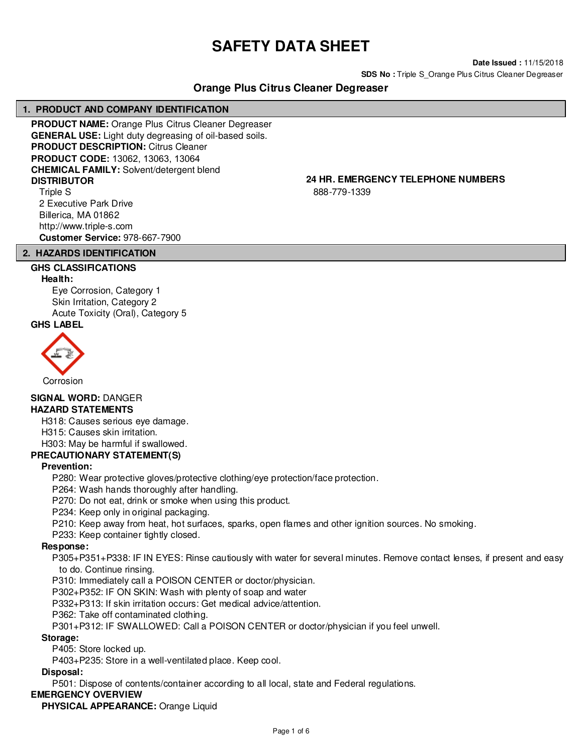# **SAFETY DATA SHEET**

**Date Issued :** 11/15/2018

**SDS No :** Triple S\_Orange Plus Citrus Cleaner Degreaser

# **Orange Plus Citrus Cleaner Degreaser**

# **1. PRODUCT AND COMPANY IDENTIFICATION**

**PRODUCT NAME:** Orange Plus Citrus Cleaner Degreaser **GENERAL USE:** Light duty degreasing of oil-based soils. **PRODUCT DESCRIPTION:** Citrus Cleaner **PRODUCT CODE:** 13062, 13063, 13064 **CHEMICAL FAMILY:** Solvent/detergent blend **DISTRIBUTOR 24 HR. EMERGENCY TELEPHONE NUMBERS** Triple S

2 Executive Park Drive Billerica, MA 01862 http://www.triple-s.com **Customer Service:** 978-667-7900

# **2. HAZARDS IDENTIFICATION**

# **GHS CLASSIFICATIONS**

#### **Health:**

Eye Corrosion, Category 1 Skin Irritation, Category 2 Acute Toxicity (Oral), Category 5

# **GHS LABEL**



**SIGNAL WORD:** DANGER

# **HAZARD STATEMENTS**

H318: Causes serious eye damage.

H315: Causes skin irritation.

#### H303: May be harmful if swallowed.

# **PRECAUTIONARY STATEMENT(S)**

#### **Prevention:**

P280: Wear protective gloves/protective clothing/eye protection/face protection.

P264: Wash hands thoroughly after handling.

P270: Do not eat, drink or smoke when using this product.

P234: Keep only in original packaging.

P210: Keep away from heat, hot surfaces, sparks, open flames and other ignition sources. No smoking.

P233: Keep container tightly closed.

#### **Response:**

P305+P351+P338: IF IN EYES: Rinse cautiously with water for several minutes. Remove contact lenses, if present and easy to do. Continue rinsing.

P310: Immediately call a POISON CENTER or doctor/physician.

P302+P352: IF ON SKIN: Wash with plenty of soap and water

P332+P313: If skin irritation occurs: Get medical advice/attention.

P362: Take off contaminated clothing.

P301+P312: IF SWALLOWED: Call a POISON CENTER or doctor/physician if you feel unwell.

#### **Storage:**

P405: Store locked up.

P403+P235: Store in a well-ventilated place. Keep cool.

#### **Disposal:**

P501: Dispose of contents/container according to all local, state and Federal regulations.

# **EMERGENCY OVERVIEW**

# **PHYSICAL APPEARANCE:** Orange Liquid

888-779-1339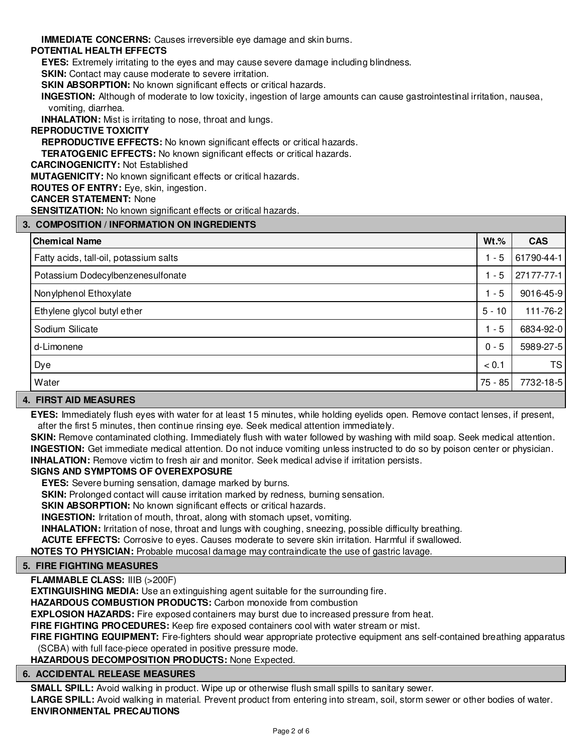**IMMEDIATE CONCERNS:** Causes irreversible eye damage and skin burns.

# **POTENTIAL HEALTH EFFECTS**

**EYES:** Extremely irritating to the eyes and may cause severe damage including blindness.

**SKIN:** Contact may cause moderate to severe irritation.

**SKIN ABSORPTION:** No known significant effects or critical hazards.

**INGESTION:** Although of moderate to low toxicity, ingestion of large amounts can cause gastrointestinal irritation, nausea, vomiting, diarrhea.

**INHALATION:** Mist is irritating to nose, throat and lungs.

# **REPRODUCTIVE TOXICITY**

**REPRODUCTIVE EFFECTS:** No known significant effects or critical hazards.

**TERATOGENIC EFFECTS:** No known significant effects or critical hazards.

**CARCINOGENICITY:** Not Established

**MUTAGENICITY:** No known significant effects or critical hazards.

**ROUTES OF ENTRY:** Eye, skin, ingestion.

#### **CANCER STATEMENT:** None

**SENSITIZATION:** No known significant effects or critical hazards.

# **3. COMPOSITION / INFORMATION ON INGREDIENTS**

| <b>Chemical Name</b>                   | $Wt.\%$   | <b>CAS</b> |  |
|----------------------------------------|-----------|------------|--|
| Fatty acids, tall-oil, potassium salts | $1 - 5$   | 61790-44-1 |  |
| Potassium Dodecylbenzenesulfonate      | $1 - 5$   | 27177-77-1 |  |
| Nonylphenol Ethoxylate                 | $1 - 5$   | 9016-45-9  |  |
| Ethylene glycol butyl ether            | $5 - 10$  | 111-76-2   |  |
| Sodium Silicate                        | $1 - 5$   | 6834-92-0  |  |
| d-Limonene                             | $0 - 5$   | 5989-27-5  |  |
| Dye                                    | < 0.1     | <b>TS</b>  |  |
| Water                                  | $75 - 85$ | 7732-18-5  |  |
|                                        |           |            |  |

#### **4. FIRST AID MEASURES**

**EYES:** Immediately flush eyes with water for at least 15 minutes, while holding eyelids open. Remove contact lenses, if present, after the first 5 minutes, then continue rinsing eye. Seek medical attention immediately.

**SKIN:** Remove contaminated clothing. Immediately flush with water followed by washing with mild soap. Seek medical attention. **INGESTION:** Get immediate medical attention. Do not induce vomiting unless instructed to do so by poison center or physician. **INHALATION:** Remove victim to fresh air and monitor. Seek medical advise if irritation persists.

# **SIGNS AND SYMPTOMS OF OVEREXPOSURE**

**EYES:** Severe burning sensation, damage marked by burns.

**SKIN:** Prolonged contact will cause irritation marked by redness, burning sensation.

**SKIN ABSORPTION:** No known significant effects or critical hazards.

**INGESTION:** Irritation of mouth, throat, along with stomach upset, vomiting.

**INHALATION:** Irritation of nose, throat and lungs with coughing, sneezing, possible difficulty breathing.

**ACUTE EFFECTS:** Corrosive to eyes. Causes moderate to severe skin irritation. Harmful if swallowed.

**NOTES TO PHYSICIAN:** Probable mucosal damage may contraindicate the use of gastric lavage.

# **5. FIRE FIGHTING MEASURES**

# **FLAMMABLE CLASS:** IIIB (>200F)

**EXTINGUISHING MEDIA:** Use an extinguishing agent suitable for the surrounding fire.

**HAZARDOUS COMBUSTION PRODUCTS:** Carbon monoxide from combustion

**EXPLOSION HAZARDS:** Fire exposed containers may burst due to increased pressure from heat.

**FIRE FIGHTING PROCEDURES:** Keep fire exposed containers cool with water stream or mist.

**FIRE FIGHTING EQUIPMENT:** Fire-fighters should wear appropriate protective equipment ans self-contained breathing apparatus (SCBA) with full face-piece operated in positive pressure mode.

**HAZARDOUS DECOMPOSITION PRODUCTS:** None Expected.

# **6. ACCIDENTAL RELEASE MEASURES**

**SMALL SPILL:** Avoid walking in product. Wipe up or otherwise flush small spills to sanitary sewer. LARGE SPILL: Avoid walking in material. Prevent product from entering into stream, soil, storm sewer or other bodies of water. **ENVIRONMENTAL PRECAUTIONS**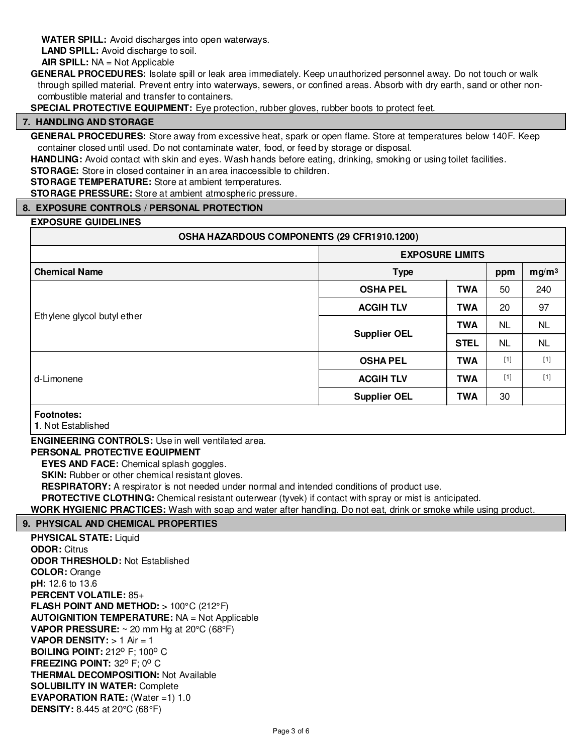**WATER SPILL:** Avoid discharges into open waterways.

**LAND SPILL:** Avoid discharge to soil.

**AIR SPILL:** NA = Not Applicable

**GENERAL PROCEDURES:** Isolate spill or leak area immediately. Keep unauthorized personnel away. Do not touch or walk through spilled material. Prevent entry into waterways, sewers, or confined areas. Absorb with dry earth, sand or other noncombustible material and transfer to containers.

**SPECIAL PROTECTIVE EQUIPMENT:** Eye protection, rubber gloves, rubber boots to protect feet.

# **7. HANDLING AND STORAGE**

**GENERAL PROCEDURES:** Store away from excessive heat, spark or open flame. Store at temperatures below 140F. Keep container closed until used. Do not contaminate water, food, or feed by storage or disposal.

**HANDLING:** Avoid contact with skin and eyes. Wash hands before eating, drinking, smoking or using toilet facilities.

**STORAGE:** Store in closed container in an area inaccessible to children.

**STORAGE TEMPERATURE:** Store at ambient temperatures.

**STORAGE PRESSURE:** Store at ambient atmospheric pressure.

# **8. EXPOSURE CONTROLS / PERSONAL PROTECTION**

#### **EXPOSURE GUIDELINES**

#### **OSHA HAZARDOUS COMPONENTS (29 CFR1910.1200)**

|                             | <b>EXPOSURE LIMITS</b> |             |           |                   |
|-----------------------------|------------------------|-------------|-----------|-------------------|
| <b>Chemical Name</b>        | <b>Type</b>            |             | ppm       | mg/m <sup>3</sup> |
|                             | <b>OSHA PEL</b>        | <b>TWA</b>  | 50        | 240               |
|                             | <b>ACGIH TLV</b>       | <b>TWA</b>  | 20        | 97                |
| Ethylene glycol butyl ether | <b>Supplier OEL</b>    | <b>TWA</b>  | <b>NL</b> | <b>NL</b>         |
|                             |                        | <b>STEL</b> | <b>NL</b> | <b>NL</b>         |
|                             | <b>OSHA PEL</b>        | <b>TWA</b>  | $[1]$     | $[1]$             |
| d-Limonene                  | <b>ACGIH TLV</b>       | <b>TWA</b>  | $[1]$     | $[1]$             |
|                             | <b>Supplier OEL</b>    | <b>TWA</b>  | 30        |                   |
| <b>Footnotes:</b>           |                        |             |           |                   |

**1**. Not Established

**ENGINEERING CONTROLS:** Use in well ventilated area.

#### **PERSONAL PROTECTIVE EQUIPMENT**

**EYES AND FACE:** Chemical splash goggles.

**SKIN:** Rubber or other chemical resistant gloves.

**RESPIRATORY:** A respirator is not needed under normal and intended conditions of product use.

**PROTECTIVE CLOTHING:** Chemical resistant outerwear (tyvek) if contact with spray or mist is anticipated.

**WORK HYGIENIC PRACTICES:** Wash with soap and water after handling. Do not eat, drink or smoke while using product.

# **9. PHYSICAL AND CHEMICAL PROPERTIES**

**PHYSICAL STATE:** Liquid **ODOR:** Citrus **ODOR THRESHOLD:** Not Established **COLOR:** Orange **pH:** 12.6 to 13.6 **PERCENT VOLATILE:** 85+ **FLASH POINT AND METHOD:** > 100°C (212°F) **AUTOIGNITION TEMPERATURE:** NA = Not Applicable **VAPOR PRESSURE:** ~ 20 mm Hg at 20°C (68°F) **VAPOR DENSITY:** > 1 Air = 1 **BOILING POINT: 212° F: 100° C FREEZING POINT: 32° F: 0° C THERMAL DECOMPOSITION:** Not Available **SOLUBILITY IN WATER:** Complete **EVAPORATION RATE:** (Water =1) 1.0 **DENSITY:** 8.445 at 20°C (68°F)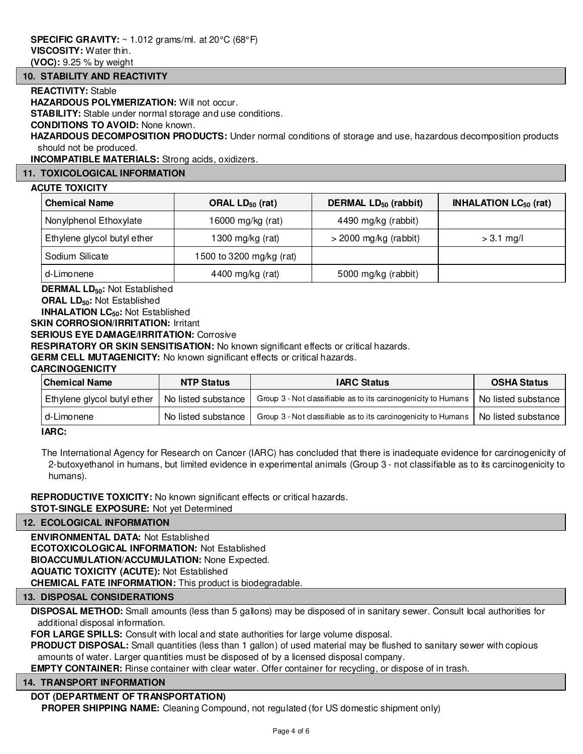**(VOC):** 9.25 % by weight

#### **10. STABILITY AND REACTIVITY**

#### **REACTIVITY:** Stable

**HAZARDOUS POLYMERIZATION: Will not occur.** 

**STABILITY:** Stable under normal storage and use conditions.

#### **CONDITIONS TO AVOID:** None known.

**HAZARDOUS DECOMPOSITION PRODUCTS:** Under normal conditions of storage and use, hazardous decomposition products should not be produced.

**INCOMPATIBLE MATERIALS:** Strong acids, oxidizers.

# **11. TOXICOLOGICAL INFORMATION**

#### **ACUTE TOXICITY**

| <b>Chemical Name</b><br>ORAL $LD_{50}$ (rat)    |                   | DERMAL LD <sub>50</sub> (rabbit) | <b>INHALATION LC<math>_{50}</math> (rat)</b> |  |
|-------------------------------------------------|-------------------|----------------------------------|----------------------------------------------|--|
| Nonylphenol Ethoxylate                          | 16000 mg/kg (rat) |                                  |                                              |  |
| Ethylene glycol butyl ether<br>1300 mg/kg (rat) |                   | $>$ 2000 mg/kg (rabbit)          | $> 3.1$ mg/l                                 |  |
| Sodium Silicate<br>1500 to 3200 mg/kg (rat)     |                   |                                  |                                              |  |
| 4400 mg/kg (rat)<br>d-Limonene                  |                   | 5000 mg/kg (rabbit)              |                                              |  |

**DERMAL LD50:** Not Established

**ORAL LD50:** Not Established

**INHALATION LC50:** Not Established

**SKIN CORROSION/IRRITATION: Irritant** 

**SERIOUS EYE DAMAGE/IRRITATION:** Corrosive

**RESPIRATORY OR SKIN SENSITISATION:** No known significant effects or critical hazards.

**GERM CELL MUTAGENICITY:** No known significant effects or critical hazards.

#### **CARCINOGENICITY**

| <b>Chemical Name</b><br><b>NTP Status</b> |                     | <b>IARC Status</b>                                             | <b>OSHA Status</b>  |  |
|-------------------------------------------|---------------------|----------------------------------------------------------------|---------------------|--|
| Ethylene glycol butyl ether               | No listed substance | Group 3 - Not classifiable as to its carcinogenicity to Humans | No listed substance |  |
| d-Limonene                                | No listed substance | Group 3 - Not classifiable as to its carcinogenicity to Humans | No listed substance |  |
| $\overline{\phantom{a}}$                  |                     |                                                                |                     |  |

**IARC:**

The International Agency for Research on Cancer (IARC) has concluded that there is inadequate evidence for carcinogenicity of 2-butoxyethanol in humans, but limited evidence in experimental animals (Group 3 - not classifiable as to its carcinogenicity to humans).

**REPRODUCTIVE TOXICITY:** No known significant effects or critical hazards. **STOT-SINGLE EXPOSURE:** Not yet Determined

#### **12. ECOLOGICAL INFORMATION**

**ENVIRONMENTAL DATA:** Not Established **ECOTOXICOLOGICAL INFORMATION:** Not Established **BIOACCUMULATION/ACCUMULATION:** None Expected. **AQUATIC TOXICITY (ACUTE):** Not Established **CHEMICAL FATE INFORMATION:** This product is biodegradable.

#### **13. DISPOSAL CONSIDERATIONS**

**DISPOSAL METHOD:** Small amounts (less than 5 gallons) may be disposed of in sanitary sewer. Consult local authorities for additional disposal information.

**FOR LARGE SPILLS:** Consult with local and state authorities for large volume disposal.

**PRODUCT DISPOSAL:** Small quantities (less than 1 gallon) of used material may be flushed to sanitary sewer with copious amounts of water. Larger quantities must be disposed of by a licensed disposal company.

**EMPTY CONTAINER:** Rinse container with clear water. Offer container for recycling, or dispose of in trash.

#### **14. TRANSPORT INFORMATION**

# **DOT (DEPARTMENT OF TRANSPORTATION)**

**PROPER SHIPPING NAME:** Cleaning Compound, not regulated (for US domestic shipment only)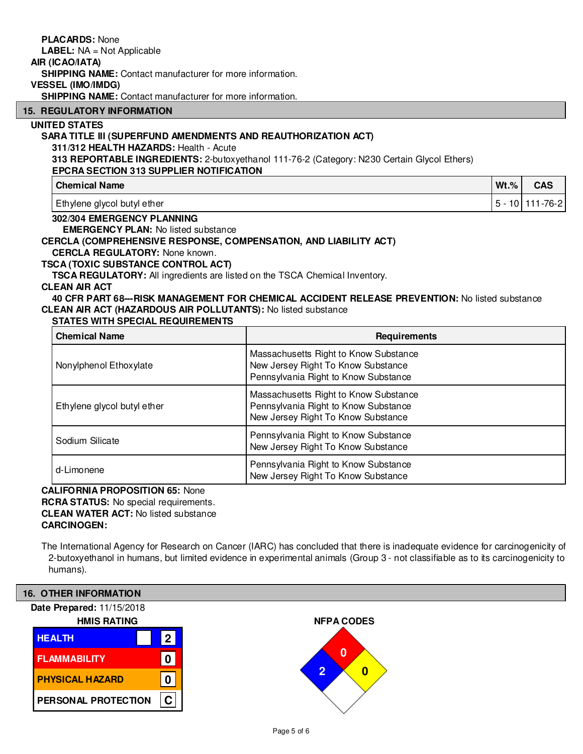|                                                                                                                  | <b>PLACARDS: None</b><br><b>LABEL:</b> NA = Not Applicable                         |                                                                                                 |         |                     |
|------------------------------------------------------------------------------------------------------------------|------------------------------------------------------------------------------------|-------------------------------------------------------------------------------------------------|---------|---------------------|
|                                                                                                                  | AIR (ICAO/IATA)                                                                    |                                                                                                 |         |                     |
|                                                                                                                  | <b>SHIPPING NAME:</b> Contact manufacturer for more information.                   |                                                                                                 |         |                     |
|                                                                                                                  | <b>VESSEL (IMO/IMDG)</b>                                                           |                                                                                                 |         |                     |
|                                                                                                                  | <b>SHIPPING NAME:</b> Contact manufacturer for more information.                   |                                                                                                 |         |                     |
|                                                                                                                  | <b>15. REGULATORY INFORMATION</b>                                                  |                                                                                                 |         |                     |
|                                                                                                                  | <b>UNITED STATES</b>                                                               |                                                                                                 |         |                     |
|                                                                                                                  | SARA TITLE III (SUPERFUND AMENDMENTS AND REAUTHORIZATION ACT)                      |                                                                                                 |         |                     |
|                                                                                                                  | 311/312 HEALTH HAZARDS: Health - Acute                                             |                                                                                                 |         |                     |
|                                                                                                                  | <b>EPCRA SECTION 313 SUPPLIER NOTIFICATION</b>                                     | 313 REPORTABLE INGREDIENTS: 2-butoxyethanol 111-76-2 (Category: N230 Certain Glycol Ethers)     |         |                     |
|                                                                                                                  | <b>Chemical Name</b>                                                               |                                                                                                 | $Wt.$ % | <b>CAS</b>          |
|                                                                                                                  |                                                                                    |                                                                                                 |         |                     |
| Ethylene glycol butyl ether                                                                                      |                                                                                    |                                                                                                 |         | 5 - 10 111 - 76 - 2 |
|                                                                                                                  | 302/304 EMERGENCY PLANNING                                                         |                                                                                                 |         |                     |
|                                                                                                                  | <b>EMERGENCY PLAN: No listed substance</b>                                         |                                                                                                 |         |                     |
| <b>CERCLA (COMPREHENSIVE RESPONSE, COMPENSATION, AND LIABILITY ACT)</b><br><b>CERCLA REGULATORY: None known.</b> |                                                                                    |                                                                                                 |         |                     |
|                                                                                                                  | TSCA (TOXIC SUBSTANCE CONTROL ACT)                                                 |                                                                                                 |         |                     |
|                                                                                                                  | <b>TSCA REGULATORY:</b> All ingredients are listed on the TSCA Chemical Inventory. |                                                                                                 |         |                     |
| <b>CLEAN AIR ACT</b>                                                                                             |                                                                                    |                                                                                                 |         |                     |
|                                                                                                                  |                                                                                    | 40 CFR PART 68--- RISK MANAGEMENT FOR CHEMICAL ACCIDENT RELEASE PREVENTION: No listed substance |         |                     |
|                                                                                                                  | CLEAN AIR ACT (HAZARDOUS AIR POLLUTANTS): No listed substance                      |                                                                                                 |         |                     |
| <b>STATES WITH SPECIAL REQUIREMENTS</b>                                                                          |                                                                                    |                                                                                                 |         |                     |
| <b>Chemical Name</b>                                                                                             |                                                                                    | Requirements                                                                                    |         |                     |
| Massachusetts Right to Know Substance                                                                            |                                                                                    |                                                                                                 |         |                     |
| New Jersey Right To Know Substance<br>Nonylphenol Ethoxylate<br>Pennsylvania Right to Know Substance             |                                                                                    |                                                                                                 |         |                     |
|                                                                                                                  |                                                                                    |                                                                                                 |         |                     |
| Massachusetts Right to Know Substance                                                                            |                                                                                    |                                                                                                 |         |                     |
|                                                                                                                  | Ethylene glycol butyl ether                                                        | Pennsylvania Right to Know Substance                                                            |         |                     |
|                                                                                                                  |                                                                                    | Now Jarcoy Right To Know Substance                                                              |         |                     |

| .               | New Jersey Right To Know Substance                                         |
|-----------------|----------------------------------------------------------------------------|
| Sodium Silicate | Pennsylvania Right to Know Substance<br>New Jersey Right To Know Substance |
| l d-Limonene    | Pennsylvania Right to Know Substance<br>New Jersey Right To Know Substance |

# **CALIFORNIA PROPOSITION 65:** None

**RCRA STATUS:** No special requirements. **CLEAN WATER ACT:** No listed substance **CARCINOGEN:**

The International Agency for Research on Cancer (IARC) has concluded that there is inadequate evidence for carcinogenicity of 2-butoxyethanol in humans, but limited evidence in experimental animals (Group 3 - not classifiable as to its carcinogenicity to humans).